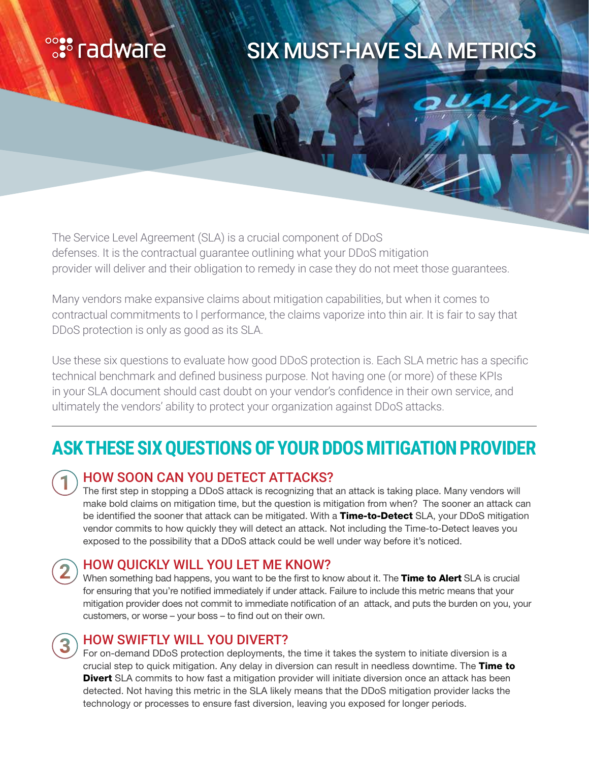# 

# SIX MUST-HAVE SLA METRICS

The Service Level Agreement (SLA) is a crucial component of DDoS defenses. It is the contractual guarantee outlining what your DDoS mitigation provider will deliver and their obligation to remedy in case they do not meet those guarantees.

Many vendors make expansive claims about mitigation capabilities, but when it comes to contractual commitments to l performance, the claims vaporize into thin air. It is fair to say that DDoS protection is only as good as its SLA.

Use these six questions to evaluate how good DDoS protection is. Each SLA metric has a specific technical benchmark and defined business purpose. Not having one (or more) of these KPIs in your SLA document should cast doubt on your vendor's confidence in their own service, and ultimately the vendors' ability to protect your organization against DDoS attacks.

## **ASK THESE SIX QUESTIONS OF YOUR DDOS MITIGATION PROVIDER**

#### HOW SOON CAN YOU DETECT ATTACKS?

The first step in stopping a DDoS attack is recognizing that an attack is taking place. Many vendors will make bold claims on mitigation time, but the question is mitigation from when? The sooner an attack can be identified the sooner that attack can be mitigated. With a Time-to-Detect SLA, your DDoS mitigation vendor commits to how quickly they will detect an attack. Not including the Time-to-Detect leaves you exposed to the possibility that a DDoS attack could be well under way before it's noticed.

#### HOW QUICKLY WILL YOU LET ME KNOW?

When something bad happens, you want to be the first to know about it. The Time to Alert SLA is crucial for ensuring that you're notified immediately if under attack. Failure to include this metric means that your mitigation provider does not commit to immediate notification of an attack, and puts the burden on you, your customers, or worse – your boss – to find out on their own.

#### HOW SWIFTLY WILL YOU DIVERT?

For on-demand DDoS protection deployments, the time it takes the system to initiate diversion is a crucial step to quick mitigation. Any delay in diversion can result in needless downtime. The Time to **Divert** SLA commits to how fast a mitigation provider will initiate diversion once an attack has been detected. Not having this metric in the SLA likely means that the DDoS mitigation provider lacks the technology or processes to ensure fast diversion, leaving you exposed for longer periods.